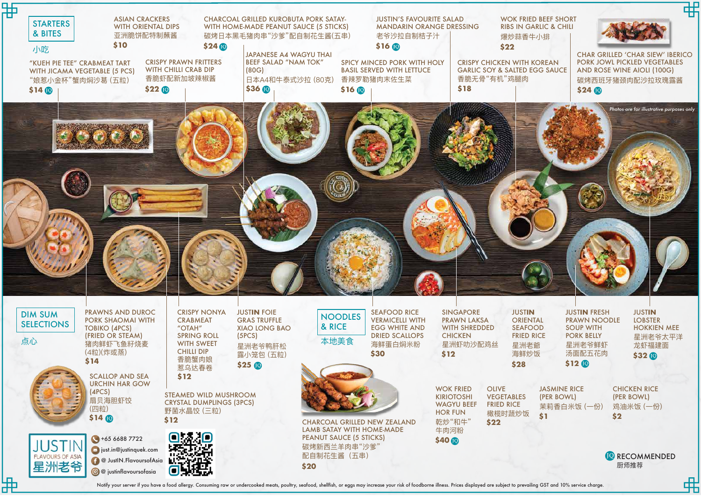**D** RECOMMENDED 厨师推荐

喦

JUST**IN** FRESH PRAWN NOODLE SOUP WITH PORK BELLY 星洲老爷鲜虾 汤面配五花肉 **\$12**

JUST**IN** LOBSTER HOKKIEN MEE 星洲老爷太平洋 龙虾福建面 **\$32**

| 郜<br><b>STARTERS</b><br>& BITES<br>小吃<br>"KUEH PIE TEE" CRABMEAT TART<br>WITH JICAMA VEGETABLE (5 PCS)<br>"娘惹小金杯"蟹肉焖沙葛 (五粒)<br>\$14 <sub>0</sub> | <b>ASIAN CRACKERS</b><br><b>WITH ORIENTAL DIPS</b><br>亚洲脆饼配特制蘸酱<br>\$10<br>$$22$ $@$                  | $$24$ $@$<br><b>CRISPY PRAWN FRITTERS</b><br><b>WITH CHILLI CRAB DIP</b><br>香脆虾配新加坡辣椒酱                                      | <b>CHARCOAL GRILLED KUROBUTA PORK SATAY-</b><br>WITH HOME-MADE PEANUT SAUCE (5 STICKS)<br>碳烤日本黑毛猪肉串"沙爹"配自制花生酱(五串)<br><b>JAPANESE A4 WAGYU THAI</b><br><b>BEEF SALAD "NAM TOK"</b><br>(80G)<br>日本A4和牛泰式沙拉 (80克)<br>\$36 IQ | \$160                                                                                                     | <b>JUSTIN'S FAVOURITE SALAD</b><br><b>MANDARIN ORANGE DRESSING</b><br>老爷沙拉自制桔子汁<br>\$160<br><b>SPICY MINCED PORK WITH HOLY</b><br><b>BASIL SERVED WITH LETTUCE</b><br>香辣罗勒猪肉末佐生菜 | \$18                                                                                                      | <b>WOK FRIED BEI</b><br><b>RIBS IN GARLIC</b><br>爆炒蒜香牛小排<br>\$22<br><b>CRISPY CHICKEN WITH KORE</b><br><b>GARLIC SOY &amp; SALTED EGG S</b><br>香脆无骨"有机"鸡腿肉 |
|--------------------------------------------------------------------------------------------------------------------------------------------------|-------------------------------------------------------------------------------------------------------|-----------------------------------------------------------------------------------------------------------------------------|---------------------------------------------------------------------------------------------------------------------------------------------------------------------------------------------------------------------------|-----------------------------------------------------------------------------------------------------------|----------------------------------------------------------------------------------------------------------------------------------------------------------------------------------|-----------------------------------------------------------------------------------------------------------|------------------------------------------------------------------------------------------------------------------------------------------------------------|
|                                                                                                                                                  |                                                                                                       |                                                                                                                             |                                                                                                                                                                                                                           |                                                                                                           |                                                                                                                                                                                  |                                                                                                           |                                                                                                                                                            |
| 18111<br><b>DIM SUM</b><br><b>SELECTIONS</b><br>点心<br>(4粒)(炸或蒸)                                                                                  | PRAWNS AND DUROC<br><b>PORK SHAOMAI WITH</b><br><b>TOBIKO (4PCS)</b><br>(FRIED OR STEAM)<br>猪肉鲜虾飞鱼籽烧麦 | <b>CRISPY NONYA</b><br><b>CRABMEAT</b><br>"OTAH"<br><b>SPRING ROLL</b><br><b>WITH SWEET</b><br><b>CHILLI DIP</b>            | <b>JUSTIN FOIE</b><br><b>GRAS TRUFFLE</b><br><b>XIAO LONG BAO</b><br>(5PCS)<br>星洲老爷鸭肝松<br>露小笼包 (五粒)                                                                                                                       | <b>NOODLES</b><br>& RICE<br>本地美食                                                                          | <b>SEAFOOD RICE</b><br><b>VERMICELLI WITH</b><br><b>EGG WHITE AND</b><br><b>DRIED SCALLOPS</b><br>海鲜蛋白焖米粉<br>\$30                                                                | <b>SINGAPORE</b><br><b>PRAWN LAKSA</b><br><b>WITH SHREDDED</b><br><b>CHICKEN</b><br>星洲虾叻沙配鸡丝<br>\$12      | <b>JUSTIN</b><br><b>ORIENTAL</b><br><b>SEAFOOD</b><br><b>FRIED RICE</b><br>星洲老爺<br>海鲜炒饭                                                                    |
| \$14<br>(4PCS)<br>(四粒)<br>$$14$ $@$<br><b>ILICTIN</b>                                                                                            | <b>SCALLOP AND SEA</b><br><b>URCHIN HAR GOW</b><br>扇贝海胆虾饺<br>\$12<br>$+6566887722$                    | 香脆蟹肉娘<br>惹乌达春卷<br>\$12<br><b>STEAMED WILD MUSHROOM</b><br><b>CRYSTAL DUMPLINGS (3PCS)</b><br>野菌水晶饺 (三粒)<br>$Q_{\text{max}}$ | $$25$ $@$                                                                                                                                                                                                                 | <b>CHARCOAL GRILLED NEW ZEALAND</b><br><b>LAMB SATAY WITH HOME-MADE</b><br><b>PEANUT SAUCE (5 STICKS)</b> |                                                                                                                                                                                  | <b>WOK FRIED</b><br><b>KIRIOTOSHI</b><br><b>WAGYU BEEF</b><br><b>HOR FUN</b><br>乾炒"和牛"<br>牛肉河粉<br>\$40 10 | \$28<br><b>OLIVE</b><br>JA:<br>(PE<br><b>VEGETABLES</b><br><b>FRIED RICE</b><br>茉<br>橄榄时蔬炒饭<br>\$1<br>\$22                                                 |

Notify your server if you have a food allergy. Consuming raw or undercooked meats, poultry, seafood, shellfish, or eggs may increase your risk of foodborne illness. Prices displayed are subject to prevailing GST and 10% se

> CHICKEN RICE (PER BOWL) 鸡油米饭 (一份) **\$2**

JASMINE RICE (PER BOWL) 茉莉香白米饭 (一份)

碳烤新西兰羊肉串"沙爹" 配自制花生酱(五串)

距

星洲

**JUSTIN FLAVOURS OF ASIA** 

 $\blacktriangleright$  just.in@justinquek.com **B** DustIN.FlavoursofAsia **@** justinflavoursofasia

ш

c

RIED BEEF SHORT **GARLIC & CHILI** 香牛小排



**H KOREAN** D EGG SAUCE

**\$20**

CHAR GRILLED ʻCHAR SIEW' IBERICO PORK JOWL PICKLED VEGETABLES AND ROSE WINE AIOLI (100G) 碳烤西班牙猪颈肉配沙拉玫瑰露酱 **\$24**

*Photos are for illustrative purposes only*

弼